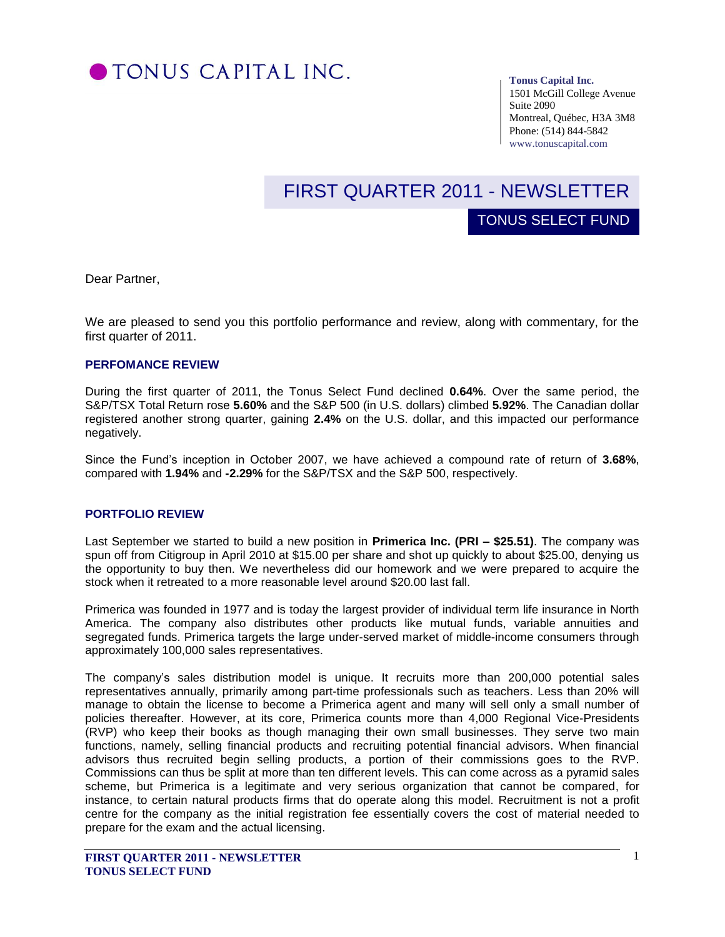

**Tonus Capital Inc.**

TONUS SELECT FUND

1501 McGill College Avenue Suite 2090 Montreal, Québec, H3A 3M8 Phone: (514) 844-5842 www.tonuscapital.com

# FIRST QUARTER 2011 - NEWSLETTER

Dear Partner,

We are pleased to send you this portfolio performance and review, along with commentary, for the first quarter of 2011.

#### **PERFOMANCE REVIEW**

During the first quarter of 2011, the Tonus Select Fund declined **0.64%**. Over the same period, the S&P/TSX Total Return rose **5.60%** and the S&P 500 (in U.S. dollars) climbed **5.92%**. The Canadian dollar registered another strong quarter, gaining **2.4%** on the U.S. dollar, and this impacted our performance negatively.

compared with **1.94%** and **-2.29%** for the S&P/TSX and the S&P 500, respectively. Since the Fund's inception in October 2007, we have achieved a compound rate of return of **3.68%**,

### **PORTFOLIO REVIEW**

Last September we started to build a new position in **Primerica Inc. (PRI – \$25.51)**. The company was spun off from Citigroup in April 2010 at \$15.00 per share and shot up quickly to about \$25.00, denying us the opportunity to buy then. We nevertheless did our homework and we were prepared to acquire the stock when it retreated to a more reasonable level around \$20.00 last fall.

Primerica was founded in 1977 and is today the largest provider of individual term life insurance in North America. The company also distributes other products like mutual funds, variable annuities and segregated funds. Primerica targets the large under-served market of middle-income consumers through approximately 100,000 sales representatives.

The company's sales distribution model is unique. It recruits more than 200,000 potential sales representatives annually, primarily among part-time professionals such as teachers. Less than 20% will manage to obtain the license to become a Primerica agent and many will sell only a small number of policies thereafter. However, at its core, Primerica counts more than 4,000 Regional Vice-Presidents (RVP) who keep their books as though managing their own small businesses. They serve two main functions, namely, selling financial products and recruiting potential financial advisors. When financial advisors thus recruited begin selling products, a portion of their commissions goes to the RVP. Commissions can thus be split at more than ten different levels. This can come across as a pyramid sales scheme, but Primerica is a legitimate and very serious organization that cannot be compared, for instance, to certain natural products firms that do operate along this model. Recruitment is not a profit centre for the company as the initial registration fee essentially covers the cost of material needed to prepare for the exam and the actual licensing.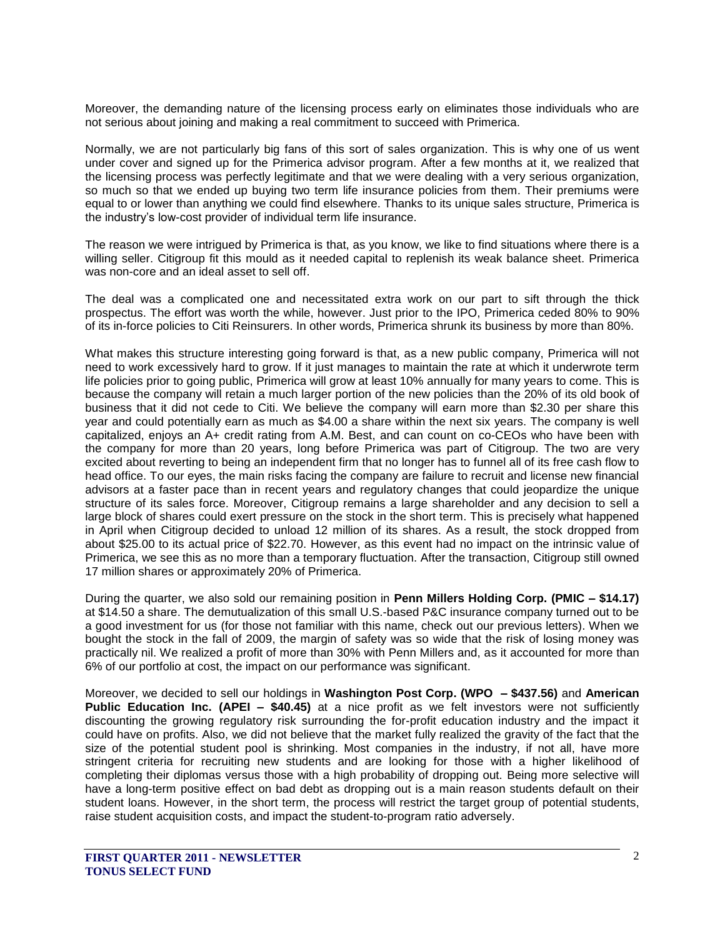Moreover, the demanding nature of the licensing process early on eliminates those individuals who are not serious about joining and making a real commitment to succeed with Primerica.

Normally, we are not particularly big fans of this sort of sales organization. This is why one of us went under cover and signed up for the Primerica advisor program. After a few months at it, we realized that the licensing process was perfectly legitimate and that we were dealing with a very serious organization, so much so that we ended up buying two term life insurance policies from them. Their premiums were equal to or lower than anything we could find elsewhere. Thanks to its unique sales structure, Primerica is the industry's low-cost provider of individual term life insurance.

The reason we were intrigued by Primerica is that, as you know, we like to find situations where there is a willing seller. Citigroup fit this mould as it needed capital to replenish its weak balance sheet. Primerica was non-core and an ideal asset to sell off.

The deal was a complicated one and necessitated extra work on our part to sift through the thick prospectus. The effort was worth the while, however. Just prior to the IPO, Primerica ceded 80% to 90% of its in-force policies to Citi Reinsurers. In other words, Primerica shrunk its business by more than 80%.

What makes this structure interesting going forward is that, as a new public company, Primerica will not need to work excessively hard to grow. If it just manages to maintain the rate at which it underwrote term life policies prior to going public, Primerica will grow at least 10% annually for many years to come. This is because the company will retain a much larger portion of the new policies than the 20% of its old book of business that it did not cede to Citi. We believe the company will earn more than \$2.30 per share this year and could potentially earn as much as \$4.00 a share within the next six years. The company is well capitalized, enjoys an A+ credit rating from A.M. Best, and can count on co-CEOs who have been with the company for more than 20 years, long before Primerica was part of Citigroup. The two are very excited about reverting to being an independent firm that no longer has to funnel all of its free cash flow to head office. To our eyes, the main risks facing the company are failure to recruit and license new financial advisors at a faster pace than in recent years and regulatory changes that could jeopardize the unique structure of its sales force. Moreover, Citigroup remains a large shareholder and any decision to sell a large block of shares could exert pressure on the stock in the short term. This is precisely what happened in April when Citigroup decided to unload 12 million of its shares. As a result, the stock dropped from about \$25.00 to its actual price of \$22.70. However, as this event had no impact on the intrinsic value of Primerica, we see this as no more than a temporary fluctuation. After the transaction, Citigroup still owned 17 million shares or approximately 20% of Primerica.

During the quarter, we also sold our remaining position in **Penn Millers Holding Corp. (PMIC – \$14.17)** at \$14.50 a share. The demutualization of this small U.S.-based P&C insurance company turned out to be a good investment for us (for those not familiar with this name, check out our previous letters). When we bought the stock in the fall of 2009, the margin of safety was so wide that the risk of losing money was practically nil. We realized a profit of more than 30% with Penn Millers and, as it accounted for more than 6% of our portfolio at cost, the impact on our performance was significant.

Moreover, we decided to sell our holdings in **Washington Post Corp. (WPO – \$437.56)** and **American Public Education Inc. (APEI – \$40.45)** at a nice profit as we felt investors were not sufficiently discounting the growing regulatory risk surrounding the for-profit education industry and the impact it could have on profits. Also, we did not believe that the market fully realized the gravity of the fact that the size of the potential student pool is shrinking. Most companies in the industry, if not all, have more stringent criteria for recruiting new students and are looking for those with a higher likelihood of completing their diplomas versus those with a high probability of dropping out. Being more selective will have a long-term positive effect on bad debt as dropping out is a main reason students default on their student loans. However, in the short term, the process will restrict the target group of potential students, raise student acquisition costs, and impact the student-to-program ratio adversely.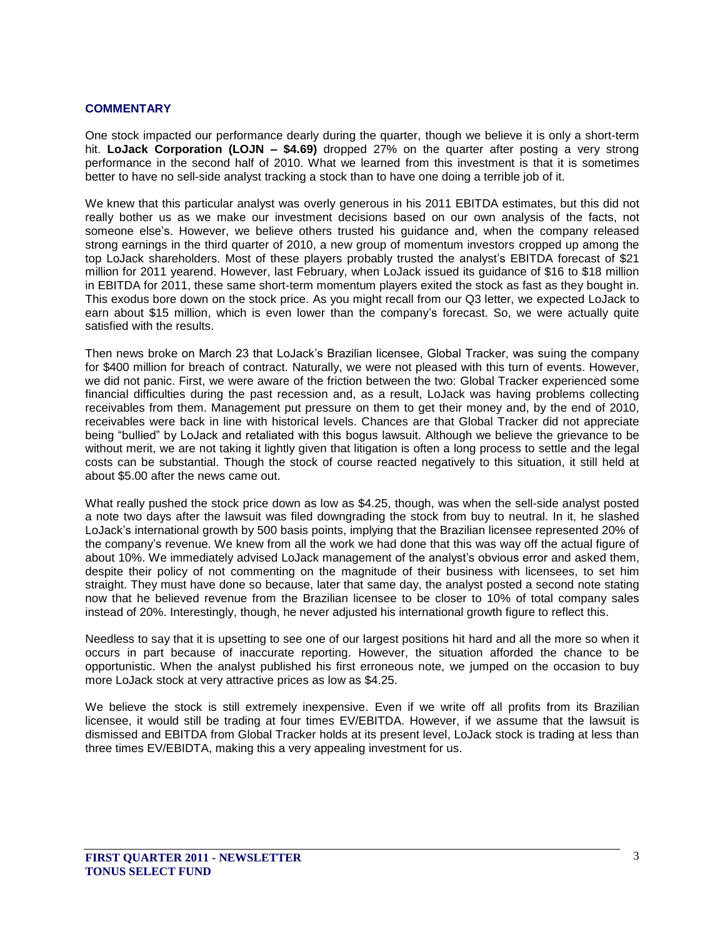### **COMMENTARY**

One stock impacted our performance dearly during the quarter, though we believe it is only a short-term hit. **LoJack Corporation (LOJN – \$4.69)** dropped 27% on the quarter after posting a very strong performance in the second half of 2010. What we learned from this investment is that it is sometimes better to have no sell-side analyst tracking a stock than to have one doing a terrible job of it.

We knew that this particular analyst was overly generous in his 2011 EBITDA estimates, but this did not really bother us as we make our investment decisions based on our own analysis of the facts, not someone else's. However, we believe others trusted his guidance and, when the company released strong earnings in the third quarter of 2010, a new group of momentum investors cropped up among the top LoJack shareholders. Most of these players probably trusted the analyst's EBITDA forecast of \$21 million for 2011 yearend. However, last February, when LoJack issued its guidance of \$16 to \$18 million in EBITDA for 2011, these same short-term momentum players exited the stock as fast as they bought in. This exodus bore down on the stock price. As you might recall from our Q3 letter, we expected LoJack to earn about \$15 million, which is even lower than the company's forecast. So, we were actually quite satisfied with the results.

Then news broke on March 23 that LoJack's Brazilian licensee, Global Tracker, was suing the company for \$400 million for breach of contract. Naturally, we were not pleased with this turn of events. However, we did not panic. First, we were aware of the friction between the two: Global Tracker experienced some financial difficulties during the past recession and, as a result, LoJack was having problems collecting receivables from them. Management put pressure on them to get their money and, by the end of 2010, receivables were back in line with historical levels. Chances are that Global Tracker did not appreciate being "bullied" by LoJack and retaliated with this bogus lawsuit. Although we believe the grievance to be without merit, we are not taking it lightly given that litigation is often a long process to settle and the legal costs can be substantial. Though the stock of course reacted negatively to this situation, it still held at about \$5.00 after the news came out.

What really pushed the stock price down as low as \$4.25, though, was when the sell-side analyst posted a note two days after the lawsuit was filed downgrading the stock from buy to neutral. In it, he slashed LoJack's international growth by 500 basis points, implying that the Brazilian licensee represented 20% of the company's revenue. We knew from all the work we had done that this was way off the actual figure of about 10%. We immediately advised LoJack management of the analyst's obvious error and asked them, despite their policy of not commenting on the magnitude of their business with licensees, to set him straight. They must have done so because, later that same day, the analyst posted a second note stating now that he believed revenue from the Brazilian licensee to be closer to 10% of total company sales instead of 20%. Interestingly, though, he never adjusted his international growth figure to reflect this.

Needless to say that it is upsetting to see one of our largest positions hit hard and all the more so when it occurs in part because of inaccurate reporting. However, the situation afforded the chance to be opportunistic. When the analyst published his first erroneous note, we jumped on the occasion to buy more LoJack stock at very attractive prices as low as \$4.25.

We believe the stock is still extremely inexpensive. Even if we write off all profits from its Brazilian licensee, it would still be trading at four times EV/EBITDA. However, if we assume that the lawsuit is dismissed and EBITDA from Global Tracker holds at its present level, LoJack stock is trading at less than three times EV/EBIDTA, making this a very appealing investment for us.